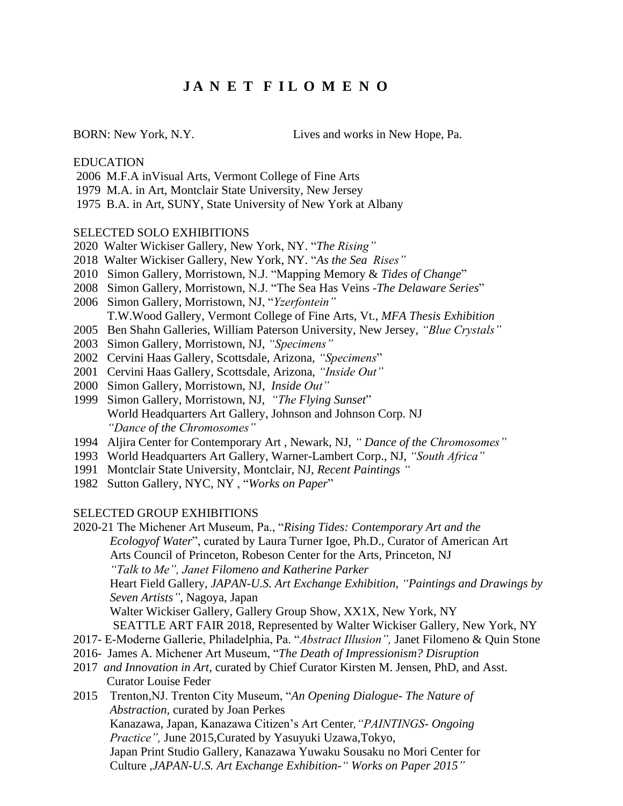# **J A N E T F I L O M E N O**

BORN: New York, N.Y. Lives and works in New Hope, Pa.

### EDUCATION

- 2006 M.F.A inVisual Arts, Vermont College of Fine Arts
- 1979 M.A. in Art, Montclair State University, New Jersey
- 1975 B.A. in Art, SUNY, State University of New York at Albany

#### SELECTED SOLO EXHIBITIONS

- 2020 Walter Wickiser Gallery, New York, NY. "*The Rising"*
- 2018 Walter Wickiser Gallery, New York, NY. "*As the Sea Rises"*
- 2010 Simon Gallery, Morristown, N.J. "Mapping Memory & *Tides of Change*"
- 2008 Simon Gallery, Morristown, N.J. "The Sea Has Veins -*The Delaware Series*"
- 2006 Simon Gallery, Morristown, NJ, "*Yzerfontein"* T.W.Wood Gallery, Vermont College of Fine Arts, Vt., *MFA Thesis Exhibition*
- 2005 Ben Shahn Galleries, William Paterson University, New Jersey, *"Blue Crystals"*
- 2003 Simon Gallery, Morristown, NJ, *"Specimens"*
- 2002 Cervini Haas Gallery, Scottsdale, Arizona, *"Specimens*"
- 2001 Cervini Haas Gallery, Scottsdale, Arizona, *"Inside Out"*
- 2000 Simon Gallery, Morristown, NJ, *Inside Out"*
- 1999 Simon Gallery, Morristown, NJ, *"The Flying Sunset*" World Headquarters Art Gallery, Johnson and Johnson Corp. NJ *"Dance of the Chromosomes"*
- 1994 Aljira Center for Contemporary Art , Newark, NJ, *" Dance of the Chromosomes"*
- 1993 World Headquarters Art Gallery, Warner-Lambert Corp., NJ, *"South Africa"*
- 1991 Montclair State University, Montclair, NJ, *Recent Paintings "*
- 1982 Sutton Gallery, NYC, NY , "*Works on Paper*"

#### SELECTED GROUP EXHIBITIONS

2020-21 The Michener Art Museum, Pa., "*Rising Tides: Contemporary Art and the Ecologyof Water*", curated by Laura Turner Igoe, Ph.D., Curator of American Art Arts Council of Princeton, Robeson Center for the Arts, Princeton, NJ *"Talk to Me", Janet Filomeno and Katherine Parker* Heart Field Gallery, *JAPAN-U.S. Art Exchange Exhibition, "Paintings and Drawings by Seven Artists",* Nagoya, Japan Walter Wickiser Gallery, Gallery Group Show, XX1X, New York, NY SEATTLE ART FAIR 2018, Represented by Walter Wickiser Gallery, New York, NY 2017- E-Moderne Gallerie, Philadelphia, Pa. "*Abstract Illusion",* Janet Filomeno & Quin Stone 2016- James A. Michener Art Museum, "*The Death of Impressionism? Disruption*

- 2017 *and Innovation in Art,* curated by Chief Curator Kirsten M. Jensen, PhD, and Asst. Curator Louise Feder
- 2015 Trenton,NJ. Trenton City Museum, "*An Opening Dialogue- The Nature of Abstraction,* curated by Joan Perkes Kanazawa, Japan, Kanazawa Citizen's Art Center*,"PAINTINGS- Ongoing Practice",* June 2015,Curated by Yasuyuki Uzawa,Tokyo, Japan Print Studio Gallery, Kanazawa Yuwaku Sousaku no Mori Center for Culture ,*JAPAN-U.S. Art Exchange Exhibition-" Works on Paper 2015"*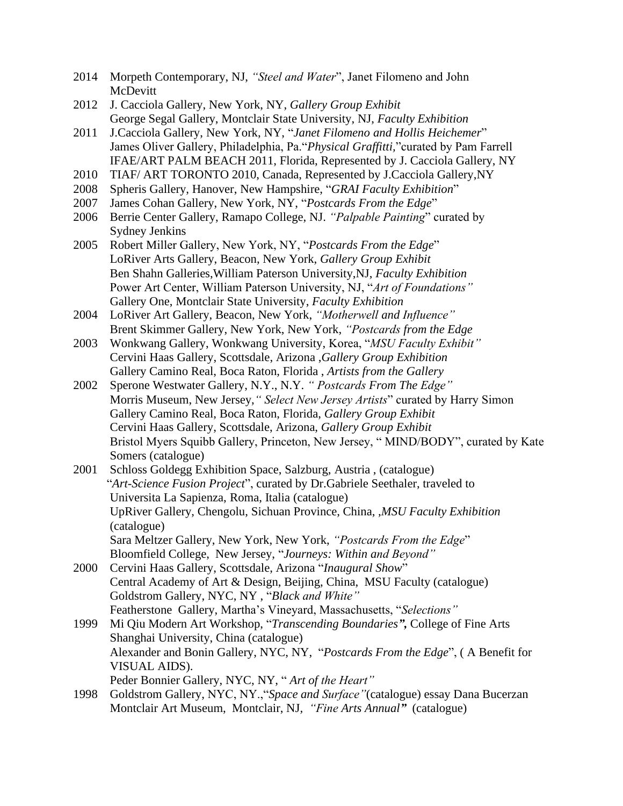- 2014 Morpeth Contemporary, NJ, *"Steel and Water*", Janet Filomeno and John McDevitt
- 2012 J. Cacciola Gallery, New York, NY, *Gallery Group Exhibit* George Segal Gallery, Montclair State University, NJ, *Faculty Exhibition*
- 2011 J.Cacciola Gallery, New York, NY, "*Janet Filomeno and Hollis Heichemer*" James Oliver Gallery, Philadelphia, Pa."*Physical Graffitti,*"curated by Pam Farrell IFAE/ART PALM BEACH 2011, Florida, Represented by J. Cacciola Gallery, NY
- 2010 TIAF/ ART TORONTO 2010, Canada, Represented by J.Cacciola Gallery,NY
- 2008 Spheris Gallery, Hanover, New Hampshire, "*GRAI Faculty Exhibition*"
- 2007 James Cohan Gallery, New York, NY, "*Postcards From the Edge*"
- 2006 Berrie Center Gallery, Ramapo College, NJ. *"Palpable Painting*" curated by Sydney Jenkins
- 2005 Robert Miller Gallery, New York, NY, "*Postcards From the Edge*" LoRiver Arts Gallery, Beacon, New York, *Gallery Group Exhibit* Ben Shahn Galleries,William Paterson University,NJ, *Faculty Exhibition* Power Art Center, William Paterson University, NJ, "*Art of Foundations"* Gallery One, Montclair State University, *Faculty Exhibition*
- 2004 LoRiver Art Gallery, Beacon, New York, *"Motherwell and Influence"* Brent Skimmer Gallery, New York, New York, *"Postcards from the Edge*
- 2003 Wonkwang Gallery, Wonkwang University, Korea, "*MSU Faculty Exhibit"* Cervini Haas Gallery, Scottsdale, Arizona ,*Gallery Group Exhibition* Gallery Camino Real, Boca Raton, Florida , *Artists from the Gallery*
- 2002 Sperone Westwater Gallery, N.Y., N.Y. *" Postcards From The Edge"* Morris Museum, New Jersey,*" Select New Jersey Artists*" curated by Harry Simon Gallery Camino Real, Boca Raton, Florida, *Gallery Group Exhibit* Cervini Haas Gallery, Scottsdale, Arizona, *Gallery Group Exhibit* Bristol Myers Squibb Gallery, Princeton, New Jersey, " MIND/BODY", curated by Kate Somers (catalogue)
- 2001 Schloss Goldegg Exhibition Space, Salzburg, Austria , (catalogue) "*Art-Science Fusion Project*", curated by Dr.Gabriele Seethaler, traveled to Universita La Sapienza, Roma, Italia (catalogue) UpRiver Gallery, Chengolu, Sichuan Province, China, ,*MSU Faculty Exhibition* (catalogue) Sara Meltzer Gallery, New York, New York, *"Postcards From the Edge*" Bloomfield College, New Jersey, "*Journeys: Within and Beyond"*
- 2000 Cervini Haas Gallery, Scottsdale, Arizona "*Inaugural Show*" Central Academy of Art & Design, Beijing, China, MSU Faculty (catalogue) Goldstrom Gallery, NYC, NY , "*Black and White"* Featherstone Gallery, Martha's Vineyard, Massachusetts, "*Selections"*
- 1999 Mi Qiu Modern Art Workshop, "*Transcending Boundaries",* College of Fine Arts Shanghai University, China (catalogue) Alexander and Bonin Gallery, NYC, NY, "*Postcards From the Edge*", ( A Benefit for VISUAL AIDS). Peder Bonnier Gallery, NYC, NY, " *Art of the Heart"*
- 1998 Goldstrom Gallery, NYC, NY.,"*Space and Surface"*(catalogue) essay Dana Bucerzan Montclair Art Museum, Montclair, NJ*, "Fine Arts Annual"* (catalogue)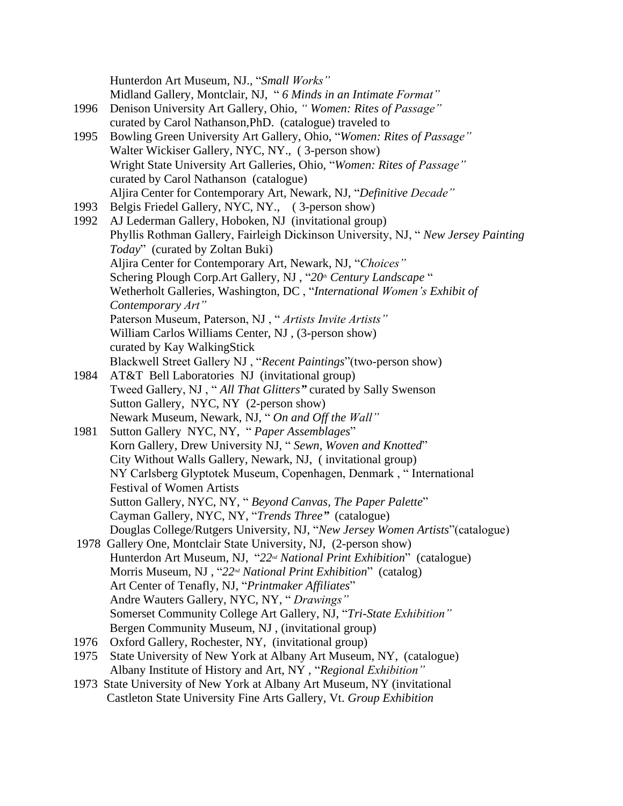Hunterdon Art Museum, NJ., "*Small Works"* Midland Gallery, Montclair, NJ, " *6 Minds in an Intimate Format"* 1996 Denison University Art Gallery, Ohio, *" Women: Rites of Passage"* curated by Carol Nathanson,PhD. (catalogue) traveled to 1995 Bowling Green University Art Gallery, Ohio, "*Women: Rites of Passage"* Walter Wickiser Gallery, NYC, NY., ( 3-person show) Wright State University Art Galleries, Ohio, "*Women: Rites of Passage"* curated by Carol Nathanson (catalogue) Aljira Center for Contemporary Art, Newark, NJ, "*Definitive Decade"* 1993 Belgis Friedel Gallery, NYC, NY., ( 3-person show) 1992 AJ Lederman Gallery, Hoboken, NJ (invitational group) Phyllis Rothman Gallery, Fairleigh Dickinson University, NJ, " *New Jersey Painting Today*" (curated by Zoltan Buki) Aljira Center for Contemporary Art, Newark, NJ, "*Choices"* Schering Plough Corp.Art Gallery, NJ , "*20th Century Landscape* " Wetherholt Galleries, Washington, DC , "*International Women's Exhibit of Contemporary Art"* Paterson Museum, Paterson, NJ , " *Artists Invite Artists"* William Carlos Williams Center, NJ , (3-person show) curated by Kay WalkingStick Blackwell Street Gallery NJ , "*Recent Paintings*"(two-person show) 1984 AT&T Bell Laboratories NJ (invitational group) Tweed Gallery, NJ , " *All That Glitters"* curated by Sally Swenson Sutton Gallery, NYC, NY (2-person show) Newark Museum, Newark, NJ, " *On and Off the Wall"* 1981 Sutton Gallery NYC, NY, " *Paper Assemblages*" Korn Gallery, Drew University NJ, " *Sewn, Woven and Knotted*" City Without Walls Gallery, Newark, NJ, ( invitational group) NY Carlsberg Glyptotek Museum, Copenhagen, Denmark , " International Festival of Women Artists Sutton Gallery, NYC, NY, " *Beyond Canvas, The Paper Palette*" Cayman Gallery, NYC, NY, "*Trends Three"* (catalogue) Douglas College/Rutgers University, NJ, "*New Jersey Women Artists*"(catalogue) 1978 Gallery One, Montclair State University, NJ, (2-person show) Hunterdon Art Museum, NJ, "*22nd National Print Exhibition*" (catalogue) Morris Museum, NJ , "*22nd National Print Exhibition*" (catalog) Art Center of Tenafly, NJ, "*Printmaker Affiliates*" Andre Wauters Gallery, NYC, NY, " *Drawings"* Somerset Community College Art Gallery, NJ, "*Tri-State Exhibition"* Bergen Community Museum, NJ , (invitational group) 1976 Oxford Gallery, Rochester, NY, (invitational group) 1975 State University of New York at Albany Art Museum, NY, (catalogue) Albany Institute of History and Art, NY , "*Regional Exhibition"* 1973 State University of New York at Albany Art Museum, NY (invitational Castleton State University Fine Arts Gallery, Vt. *Group Exhibition*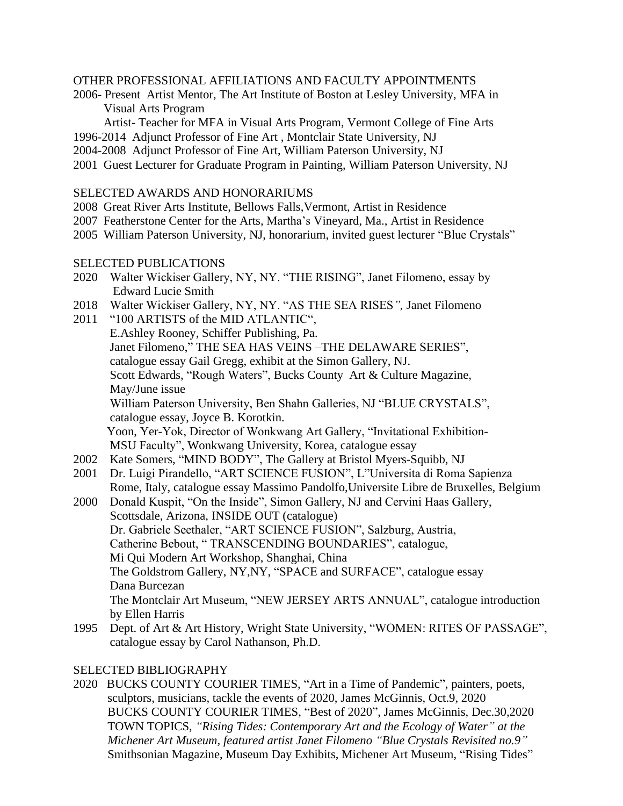### OTHER PROFESSIONAL AFFILIATIONS AND FACULTY APPOINTMENTS

2006- Present Artist Mentor, The Art Institute of Boston at Lesley University, MFA in Visual Arts Program

Artist- Teacher for MFA in Visual Arts Program, Vermont College of Fine Arts

- 1996-2014 Adjunct Professor of Fine Art , Montclair State University, NJ
- 2004-2008 Adjunct Professor of Fine Art, William Paterson University, NJ
- 2001 Guest Lecturer for Graduate Program in Painting, William Paterson University, NJ

## SELECTED AWARDS AND HONORARIUMS

- 2008 Great River Arts Institute, Bellows Falls,Vermont, Artist in Residence
- 2007 Featherstone Center for the Arts, Martha's Vineyard, Ma., Artist in Residence
- 2005 William Paterson University, NJ, honorarium, invited guest lecturer "Blue Crystals"

## SELECTED PUBLICATIONS

- 2020 Walter Wickiser Gallery, NY, NY. "THE RISING", Janet Filomeno, essay by Edward Lucie Smith
- 2018 Walter Wickiser Gallery, NY, NY. "AS THE SEA RISES*",* Janet Filomeno
- 2011 "100 ARTISTS of the MID ATLANTIC", E.Ashley Rooney, Schiffer Publishing, Pa. Janet Filomeno," THE SEA HAS VEINS –THE DELAWARE SERIES", catalogue essay Gail Gregg, exhibit at the Simon Gallery, NJ. Scott Edwards, "Rough Waters", Bucks County Art & Culture Magazine, May/June issue William Paterson University, Ben Shahn Galleries, NJ "BLUE CRYSTALS", catalogue essay, Joyce B. Korotkin. Yoon, Yer-Yok, Director of Wonkwang Art Gallery, "Invitational Exhibition-MSU Faculty", Wonkwang University, Korea, catalogue essay
- 2002 Kate Somers, "MIND BODY", The Gallery at Bristol Myers-Squibb, NJ
- 2001 Dr. Luigi Pirandello, "ART SCIENCE FUSION", L"Universita di Roma Sapienza Rome, Italy, catalogue essay Massimo Pandolfo,Universite Libre de Bruxelles, Belgium
- 2000 Donald Kuspit, "On the Inside", Simon Gallery, NJ and Cervini Haas Gallery, Scottsdale, Arizona, INSIDE OUT (catalogue) Dr. Gabriele Seethaler, "ART SCIENCE FUSION", Salzburg, Austria, Catherine Bebout, " TRANSCENDING BOUNDARIES", catalogue, Mi Qui Modern Art Workshop, Shanghai, China The Goldstrom Gallery, NY,NY, "SPACE and SURFACE", catalogue essay Dana Burcezan The Montclair Art Museum, "NEW JERSEY ARTS ANNUAL", catalogue introduction by Ellen Harris
- 1995 Dept. of Art & Art History, Wright State University, "WOMEN: RITES OF PASSAGE", catalogue essay by Carol Nathanson, Ph.D.

## SELECTED BIBLIOGRAPHY

2020 BUCKS COUNTY COURIER TIMES, "Art in a Time of Pandemic", painters, poets, sculptors, musicians, tackle the events of 2020, James McGinnis, Oct.9, 2020 BUCKS COUNTY COURIER TIMES, "Best of 2020", James McGinnis, Dec.30,2020 TOWN TOPICS, *"Rising Tides: Contemporary Art and the Ecology of Water" at the Michener Art Museum, featured artist Janet Filomeno "Blue Crystals Revisited no.9"* Smithsonian Magazine, Museum Day Exhibits, Michener Art Museum, "Rising Tides"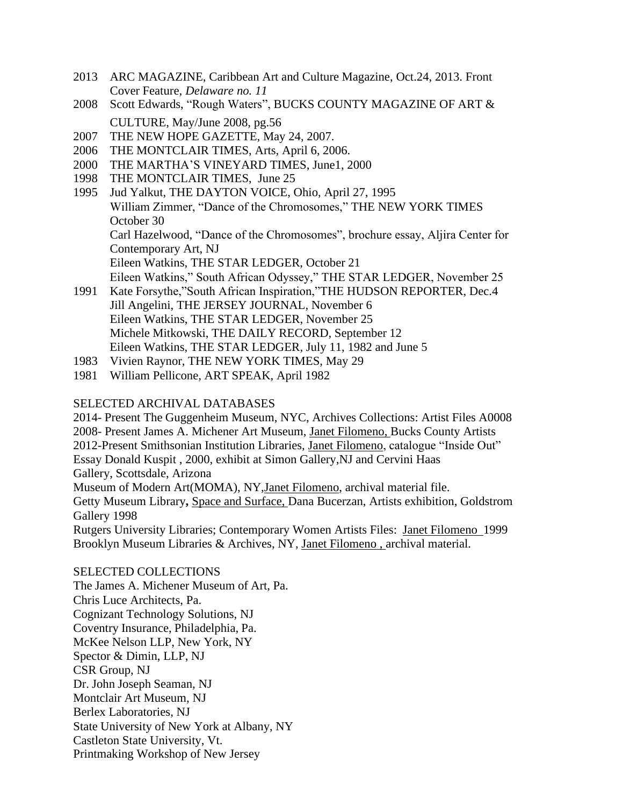- 2013 ARC MAGAZINE, Caribbean Art and Culture Magazine, Oct.24, 2013. Front Cover Feature, *Delaware no. 11*
- 2008 Scott Edwards, "Rough Waters", BUCKS COUNTY MAGAZINE OF ART & CULTURE, May/June 2008, pg.56
- 2007 THE NEW HOPE GAZETTE, May 24, 2007.
- 2006 THE MONTCLAIR TIMES, Arts, April 6, 2006.
- 2000 THE MARTHA'S VINEYARD TIMES, June1, 2000
- 1998 THE MONTCLAIR TIMES, June 25
- 1995 Jud Yalkut, THE DAYTON VOICE, Ohio, April 27, 1995 William Zimmer, "Dance of the Chromosomes," THE NEW YORK TIMES October 30 Carl Hazelwood, "Dance of the Chromosomes", brochure essay, Aljira Center for Contemporary Art, NJ Eileen Watkins, THE STAR LEDGER, October 21 Eileen Watkins," South African Odyssey," THE STAR LEDGER, November 25
- 1991 Kate Forsythe,"South African Inspiration,"THE HUDSON REPORTER, Dec.4 Jill Angelini, THE JERSEY JOURNAL, November 6 Eileen Watkins, THE STAR LEDGER, November 25 Michele Mitkowski, THE DAILY RECORD, September 12 Eileen Watkins, THE STAR LEDGER*,* July 11, 1982 and June 5
- 1983 Vivien Raynor, THE NEW YORK TIMES, May 29
- 1981 William Pellicone*,* ART SPEAK, April 1982

#### SELECTED ARCHIVAL DATABASES

2014- Present The Guggenheim Museum, NYC, Archives Collections: Artist Files A0008 2008- Present James A. Michener Art Museum, Janet Filomeno, Bucks County Artists 2012-Present Smithsonian Institution Libraries, Janet Filomeno, catalogue "Inside Out" Essay Donald Kuspit , 2000, exhibit at Simon Gallery,NJ and Cervini Haas Gallery, Scottsdale, Arizona Museum of Modern Art(MOMA), NY,Janet Filomeno, archival material file. Getty Museum Library**,** Space and Surface, Dana Bucerzan, Artists exhibition, Goldstrom Gallery 1998 Rutgers University Libraries; Contemporary Women Artists Files: Janet Filomeno 1999 Brooklyn Museum Libraries & Archives, NY, Janet Filomeno , archival material.

SELECTED COLLECTIONS The James A. Michener Museum of Art, Pa. Chris Luce Architects, Pa. Cognizant Technology Solutions, NJ Coventry Insurance, Philadelphia, Pa. McKee Nelson LLP, New York, NY Spector & Dimin, LLP, NJ CSR Group, NJ Dr. John Joseph Seaman, NJ Montclair Art Museum, NJ Berlex Laboratories, NJ State University of New York at Albany, NY Castleton State University, Vt. Printmaking Workshop of New Jersey